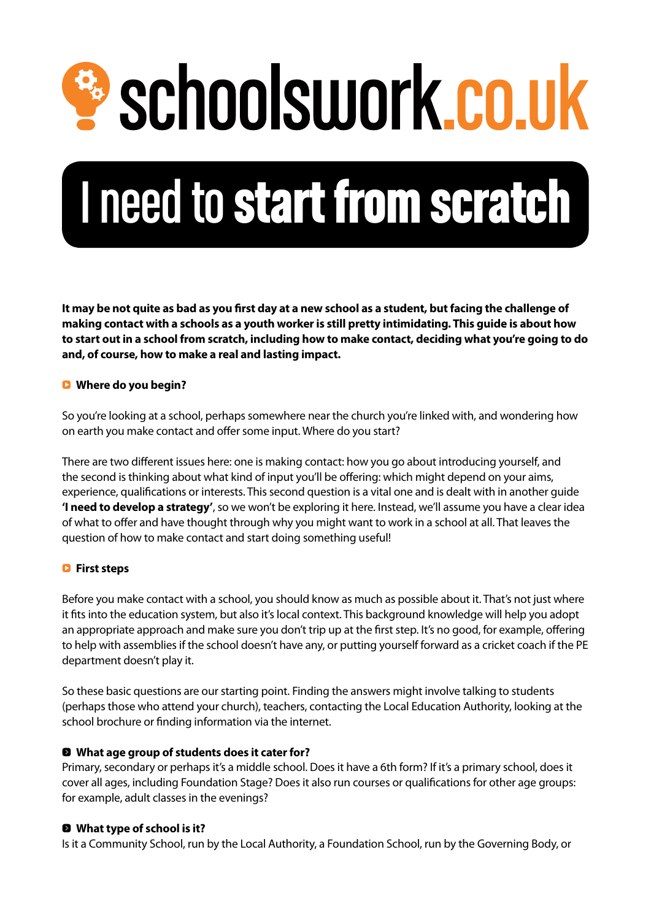<sup>2</sup> schoolswork.co.uk

# I need to start from scratch

**It may be not quite as bad as you first day at a new school as a student, but facing the challenge of making contact with a schools as a youth worker is still pretty intimidating. This guide is about how to start out in a school from scratch, including how to make contact, deciding what you're going to do and, of course, how to make a real and lasting impact.**

# Q **Where do you begin?**

So you're looking at a school, perhaps somewhere near the church you're linked with, and wondering how on earth you make contact and offer some input. Where do you start?

There are two different issues here: one is making contact: how you go about introducing yourself, and the second is thinking about what kind of input you'll be offering: which might depend on your aims, experience, qualifications or interests. This second question is a vital one and is dealt with in another guide **'I need to develop a strategy'**, so we won't be exploring it here. Instead, we'll assume you have a clear idea of what to offer and have thought through why you might want to work in a school at all. That leaves the question of how to make contact and start doing something useful!

# Q **First steps**

Before you make contact with a school, you should know as much as possible about it. That's not just where it fits into the education system, but also it's local context. This background knowledge will help you adopt an appropriate approach and make sure you don't trip up at the first step. It's no good, for example, offering to help with assemblies if the school doesn't have any, or putting yourself forward as a cricket coach if the PE department doesn't play it.

So these basic questions are our starting point. Finding the answers might involve talking to students (perhaps those who attend your church), teachers, contacting the Local Education Authority, looking at the school brochure or finding information via the internet.

# 0 **What age group of students does it cater for?**

Primary, secondary or perhaps it's a middle school. Does it have a 6th form? If it's a primary school, does it cover all ages, including Foundation Stage? Does it also run courses or qualifications for other age groups: for example, adult classes in the evenings?

# 0 **What type of school is it?**

Is it a Community School, run by the Local Authority, a Foundation School, run by the Governing Body, or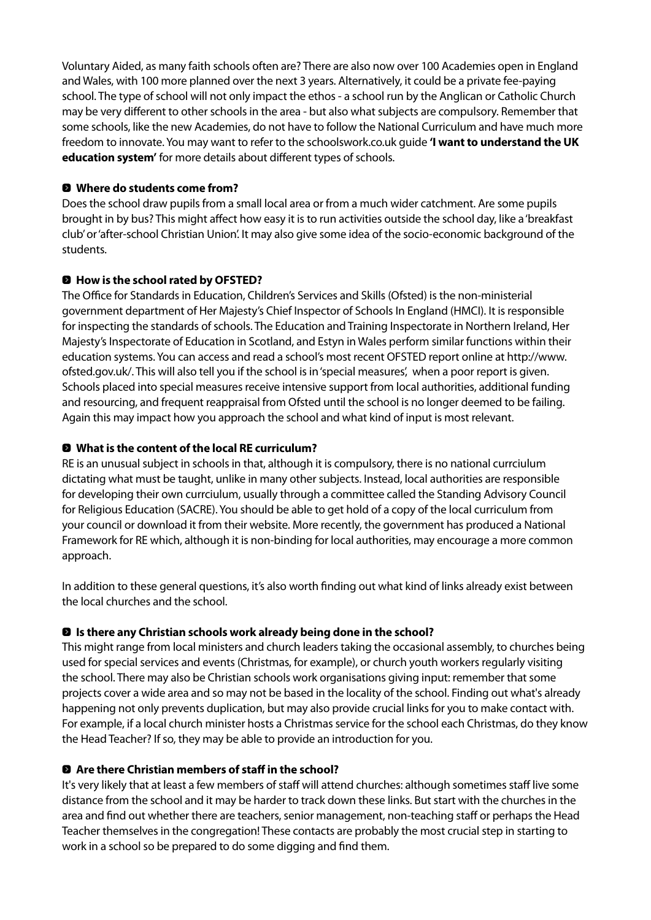Voluntary Aided, as many faith schools often are? There are also now over 100 Academies open in England and Wales, with 100 more planned over the next 3 years. Alternatively, it could be a private fee-paying school. The type of school will not only impact the ethos - a school run by the Anglican or Catholic Church may be very different to other schools in the area - but also what subjects are compulsory. Remember that some schools, like the new Academies, do not have to follow the National Curriculum and have much more freedom to innovate. You may want to refer to the schoolswork.co.uk guide **'I want to understand the UK education system'** for more details about different types of schools.

## 0 **Where do students come from?**

Does the school draw pupils from a small local area or from a much wider catchment. Are some pupils brought in by bus? This might affect how easy it is to run activities outside the school day, like a 'breakfast club' or 'after-school Christian Union'. It may also give some idea of the socio-economic background of the students.

# 0 **How is the school rated by OFSTED?**

The Office for Standards in Education, Children's Services and Skills (Ofsted) is the non-ministerial government department of Her Majesty's Chief Inspector of Schools In England (HMCI). It is responsible for inspecting the standards of schools. The Education and Training Inspectorate in Northern Ireland, Her Majesty's Inspectorate of Education in Scotland, and Estyn in Wales perform similar functions within their education systems. You can access and read a school's most recent OFSTED report online at http://www. ofsted.gov.uk/. This will also tell you if the school is in 'special measures', when a poor report is given. Schools placed into special measures receive intensive support from local authorities, additional funding and resourcing, and frequent reappraisal from Ofsted until the school is no longer deemed to be failing. Again this may impact how you approach the school and what kind of input is most relevant.

# 0 **What is the content of the local RE curriculum?**

RE is an unusual subject in schools in that, although it is compulsory, there is no national currciulum dictating what must be taught, unlike in many other subjects. Instead, local authorities are responsible for developing their own currciulum, usually through a committee called the Standing Advisory Council for Religious Education (SACRE). You should be able to get hold of a copy of the local curriculum from your council or download it from their website. More recently, the government has produced a National Framework for RE which, although it is non-binding for local authorities, may encourage a more common approach.

In addition to these general questions, it's also worth finding out what kind of links already exist between the local churches and the school.

# 0 **Is there any Christian schools work already being done in the school?**

This might range from local ministers and church leaders taking the occasional assembly, to churches being used for special services and events (Christmas, for example), or church youth workers regularly visiting the school. There may also be Christian schools work organisations giving input: remember that some projects cover a wide area and so may not be based in the locality of the school. Finding out what's already happening not only prevents duplication, but may also provide crucial links for you to make contact with. For example, if a local church minister hosts a Christmas service for the school each Christmas, do they know the Head Teacher? If so, they may be able to provide an introduction for you.

#### 0 **Are there Christian members of staff in the school?**

It's very likely that at least a few members of staff will attend churches: although sometimes staff live some distance from the school and it may be harder to track down these links. But start with the churches in the area and find out whether there are teachers, senior management, non-teaching staff or perhaps the Head Teacher themselves in the congregation! These contacts are probably the most crucial step in starting to work in a school so be prepared to do some digging and find them.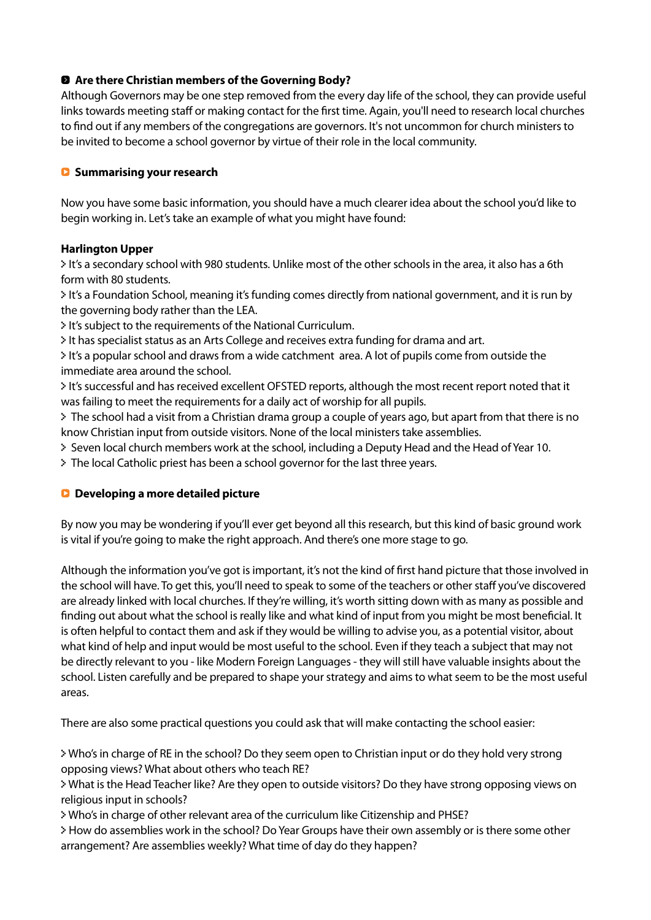# 0 **Are there Christian members of the Governing Body?**

Although Governors may be one step removed from the every day life of the school, they can provide useful links towards meeting staff or making contact for the first time. Again, you'll need to research local churches to find out if any members of the congregations are governors. It's not uncommon for church ministers to be invited to become a school governor by virtue of their role in the local community.

#### Q **Summarising your research**

Now you have some basic information, you should have a much clearer idea about the school you'd like to begin working in. Let's take an example of what you might have found:

#### **Harlington Upper**

0 It's a secondary school with 980 students. Unlike most of the other schools in the area, it also has a 6th form with 80 students.

0 It's a Foundation School, meaning it's funding comes directly from national government, and it is run by the governing body rather than the LEA.

0 It's subject to the requirements of the National Curriculum.

0 It has specialist status as an Arts College and receives extra funding for drama and art.

0 It's a popular school and draws from a wide catchment area. A lot of pupils come from outside the immediate area around the school.

0 It's successful and has received excellent OFSTED reports, although the most recent report noted that it was failing to meet the requirements for a daily act of worship for all pupils.

0 The school had a visit from a Christian drama group a couple of years ago, but apart from that there is no know Christian input from outside visitors. None of the local ministers take assemblies.

- 0 Seven local church members work at the school, including a Deputy Head and the Head of Year 10.
- 0 The local Catholic priest has been a school governor for the last three years.

# Q **Developing a more detailed picture**

By now you may be wondering if you'll ever get beyond all this research, but this kind of basic ground work is vital if you're going to make the right approach. And there's one more stage to go.

Although the information you've got is important, it's not the kind of first hand picture that those involved in the school will have. To get this, you'll need to speak to some of the teachers or other staff you've discovered are already linked with local churches. If they're willing, it's worth sitting down with as many as possible and finding out about what the school is really like and what kind of input from you might be most beneficial. It is often helpful to contact them and ask if they would be willing to advise you, as a potential visitor, about what kind of help and input would be most useful to the school. Even if they teach a subject that may not be directly relevant to you - like Modern Foreign Languages - they will still have valuable insights about the school. Listen carefully and be prepared to shape your strategy and aims to what seem to be the most useful areas.

There are also some practical questions you could ask that will make contacting the school easier:

0 Who's in charge of RE in the school? Do they seem open to Christian input or do they hold very strong opposing views? What about others who teach RE?

0 What is the Head Teacher like? Are they open to outside visitors? Do they have strong opposing views on religious input in schools?

0 Who's in charge of other relevant area of the curriculum like Citizenship and PHSE?

0 How do assemblies work in the school? Do Year Groups have their own assembly or is there some other arrangement? Are assemblies weekly? What time of day do they happen?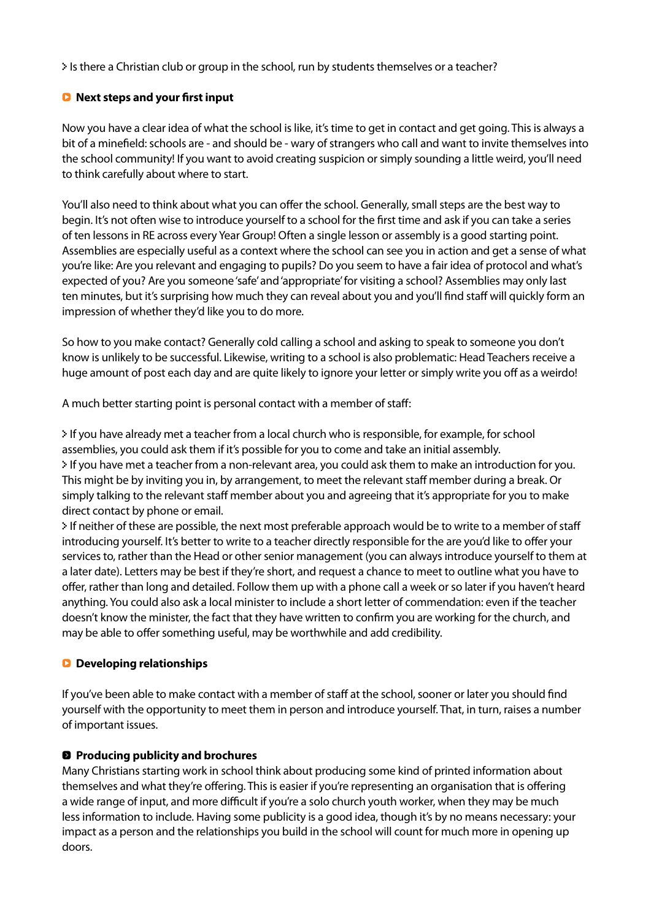0 Is there a Christian club or group in the school, run by students themselves or a teacher?

## Q **Next steps and your first input**

Now you have a clear idea of what the school is like, it's time to get in contact and get going. This is always a bit of a minefield: schools are - and should be - wary of strangers who call and want to invite themselves into the school community! If you want to avoid creating suspicion or simply sounding a little weird, you'll need to think carefully about where to start.

You'll also need to think about what you can offer the school. Generally, small steps are the best way to begin. It's not often wise to introduce yourself to a school for the first time and ask if you can take a series of ten lessons in RE across every Year Group! Often a single lesson or assembly is a good starting point. Assemblies are especially useful as a context where the school can see you in action and get a sense of what you're like: Are you relevant and engaging to pupils? Do you seem to have a fair idea of protocol and what's expected of you? Are you someone 'safe' and 'appropriate' for visiting a school? Assemblies may only last ten minutes, but it's surprising how much they can reveal about you and you'll find staff will quickly form an impression of whether they'd like you to do more.

So how to you make contact? Generally cold calling a school and asking to speak to someone you don't know is unlikely to be successful. Likewise, writing to a school is also problematic: Head Teachers receive a huge amount of post each day and are quite likely to ignore your letter or simply write you off as a weirdo!

A much better starting point is personal contact with a member of staff:

0 If you have already met a teacher from a local church who is responsible, for example, for school assemblies, you could ask them if it's possible for you to come and take an initial assembly. 0 If you have met a teacher from a non-relevant area, you could ask them to make an introduction for you. This might be by inviting you in, by arrangement, to meet the relevant staff member during a break. Or simply talking to the relevant staff member about you and agreeing that it's appropriate for you to make direct contact by phone or email.

0 If neither of these are possible, the next most preferable approach would be to write to a member of staff introducing yourself. It's better to write to a teacher directly responsible for the are you'd like to offer your services to, rather than the Head or other senior management (you can always introduce yourself to them at a later date). Letters may be best if they're short, and request a chance to meet to outline what you have to offer, rather than long and detailed. Follow them up with a phone call a week or so later if you haven't heard anything. You could also ask a local minister to include a short letter of commendation: even if the teacher doesn't know the minister, the fact that they have written to confirm you are working for the church, and may be able to offer something useful, may be worthwhile and add credibility.

#### Q **Developing relationships**

If you've been able to make contact with a member of staff at the school, sooner or later you should find yourself with the opportunity to meet them in person and introduce yourself. That, in turn, raises a number of important issues.

# 0 **Producing publicity and brochures**

Many Christians starting work in school think about producing some kind of printed information about themselves and what they're offering. This is easier if you're representing an organisation that is offering a wide range of input, and more difficult if you're a solo church youth worker, when they may be much less information to include. Having some publicity is a good idea, though it's by no means necessary: your impact as a person and the relationships you build in the school will count for much more in opening up doors.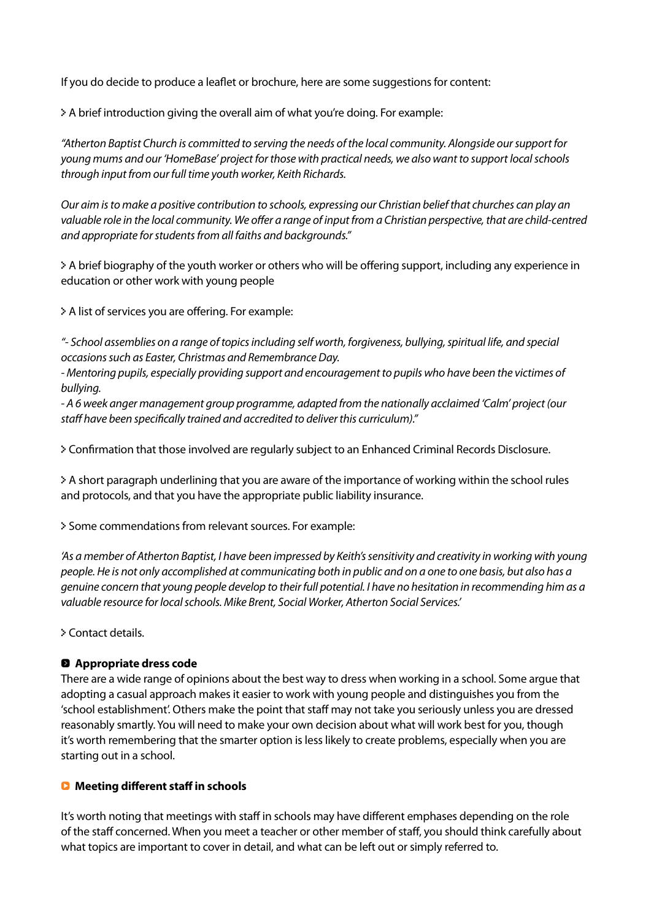If you do decide to produce a leaflet or brochure, here are some suggestions for content:

0 A brief introduction giving the overall aim of what you're doing. For example:

*"Atherton Baptist Church is committed to serving the needs of the local community. Alongside our support for young mums and our 'HomeBase' project for those with practical needs, we also want to support local schools through input from our full time youth worker, Keith Richards.*

*Our aim is to make a positive contribution to schools, expressing our Christian belief that churches can play an*  valuable role in the local community. We offer a range of input from a Christian perspective, that are child-centred *and appropriate for students from all faiths and backgrounds."*

0 A brief biography of the youth worker or others who will be offering support, including any experience in education or other work with young people

0 A list of services you are offering. For example:

*"- School assemblies on a range of topics including self worth, forgiveness, bullying, spiritual life, and special occasions such as Easter, Christmas and Remembrance Day.*

*- Mentoring pupils, especially providing support and encouragement to pupils who have been the victimes of bullying.*

*- A 6 week anger management group programme, adapted from the nationally acclaimed 'Calm' project (our staff have been specifically trained and accredited to deliver this curriculum)."*

0 Confirmation that those involved are regularly subject to an Enhanced Criminal Records Disclosure.

0 A short paragraph underlining that you are aware of the importance of working within the school rules and protocols, and that you have the appropriate public liability insurance.

0 Some commendations from relevant sources. For example:

*'As a member of Atherton Baptist, I have been impressed by Keith's sensitivity and creativity in working with young people. He is not only accomplished at communicating both in public and on a one to one basis, but also has a genuine concern that young people develop to their full potential. I have no hesitation in recommending him as a valuable resource for local schools. Mike Brent, Social Worker, Atherton Social Services.'*

0 Contact details.

#### 0 **Appropriate dress code**

There are a wide range of opinions about the best way to dress when working in a school. Some argue that adopting a casual approach makes it easier to work with young people and distinguishes you from the 'school establishment'. Others make the point that staff may not take you seriously unless you are dressed reasonably smartly. You will need to make your own decision about what will work best for you, though it's worth remembering that the smarter option is less likely to create problems, especially when you are starting out in a school.

#### Q **Meeting different staff in schools**

It's worth noting that meetings with staff in schools may have different emphases depending on the role of the staff concerned. When you meet a teacher or other member of staff, you should think carefully about what topics are important to cover in detail, and what can be left out or simply referred to.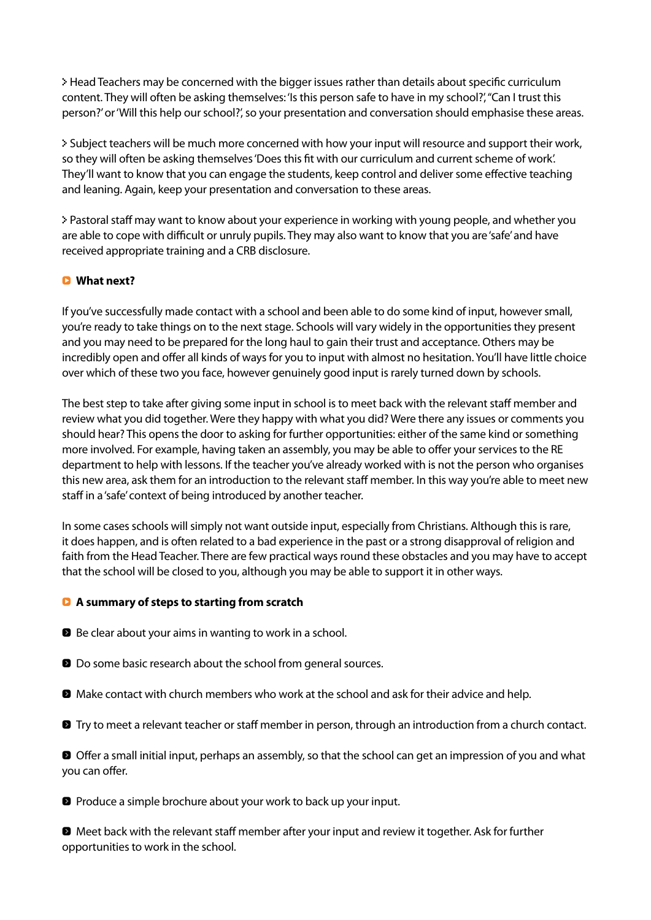0 Head Teachers may be concerned with the bigger issues rather than details about specific curriculum content. They will often be asking themselves: 'Is this person safe to have in my school?', "Can I trust this person?' or 'Will this help our school?', so your presentation and conversation should emphasise these areas.

0 Subject teachers will be much more concerned with how your input will resource and support their work, so they will often be asking themselves 'Does this fit with our curriculum and current scheme of work'. They'll want to know that you can engage the students, keep control and deliver some effective teaching and leaning. Again, keep your presentation and conversation to these areas.

0 Pastoral staff may want to know about your experience in working with young people, and whether you are able to cope with difficult or unruly pupils. They may also want to know that you are 'safe' and have received appropriate training and a CRB disclosure.

# Q **What next?**

If you've successfully made contact with a school and been able to do some kind of input, however small, you're ready to take things on to the next stage. Schools will vary widely in the opportunities they present and you may need to be prepared for the long haul to gain their trust and acceptance. Others may be incredibly open and offer all kinds of ways for you to input with almost no hesitation. You'll have little choice over which of these two you face, however genuinely good input is rarely turned down by schools.

The best step to take after giving some input in school is to meet back with the relevant staff member and review what you did together. Were they happy with what you did? Were there any issues or comments you should hear? This opens the door to asking for further opportunities: either of the same kind or something more involved. For example, having taken an assembly, you may be able to offer your services to the RE department to help with lessons. If the teacher you've already worked with is not the person who organises this new area, ask them for an introduction to the relevant staff member. In this way you're able to meet new staff in a 'safe' context of being introduced by another teacher.

In some cases schools will simply not want outside input, especially from Christians. Although this is rare, it does happen, and is often related to a bad experience in the past or a strong disapproval of religion and faith from the Head Teacher. There are few practical ways round these obstacles and you may have to accept that the school will be closed to you, although you may be able to support it in other ways.

#### Q **A summary of steps to starting from scratch**

- **D** Be clear about your aims in wanting to work in a school.
- **D** Do some basic research about the school from general sources.
- **2** Make contact with church members who work at the school and ask for their advice and help.
- **D** Try to meet a relevant teacher or staff member in person, through an introduction from a church contact.

0 Offer a small initial input, perhaps an assembly, so that the school can get an impression of you and what you can offer.

**D** Produce a simple brochure about your work to back up your input.

0 Meet back with the relevant staff member after your input and review it together. Ask for further opportunities to work in the school.